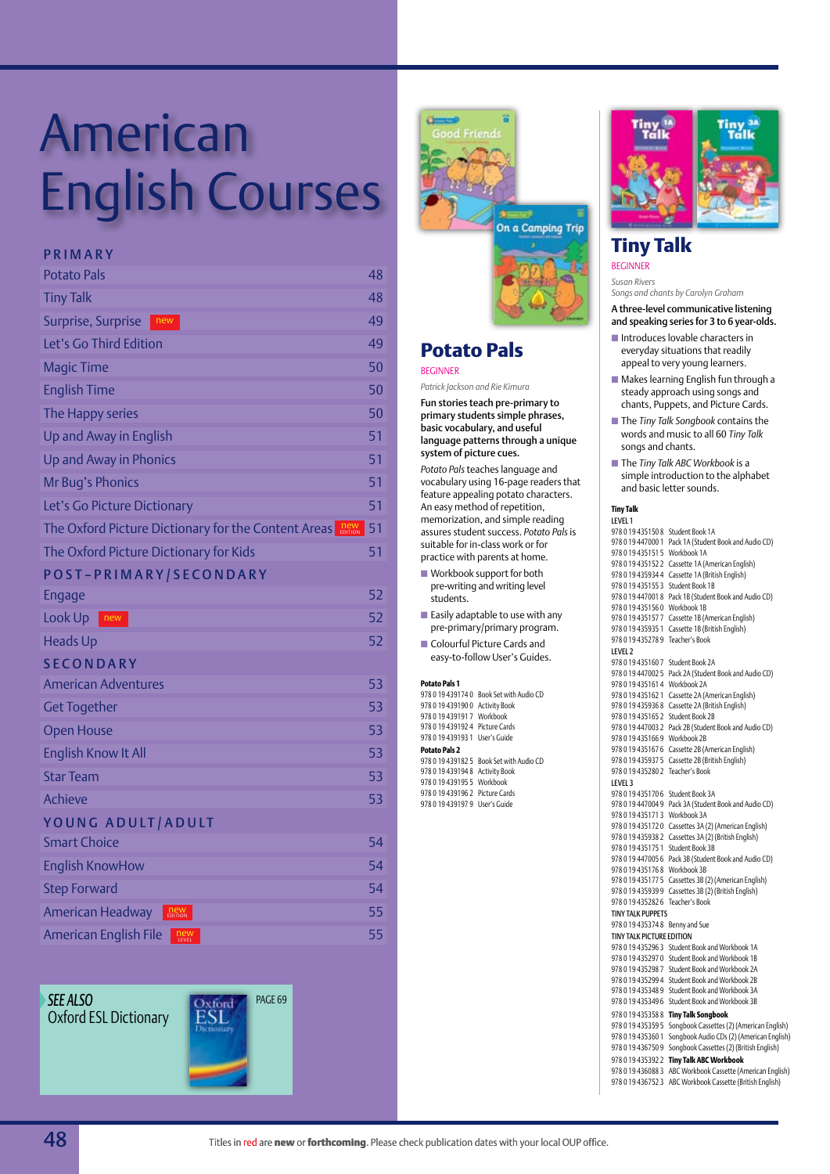# contents on the ses American English Courses

#### **P R I M A R Y**

| <b>Potato Pals</b>                                                           | 48 |
|------------------------------------------------------------------------------|----|
| <b>Tiny Talk</b>                                                             | 48 |
| Surprise, Surprise<br>new                                                    | 49 |
| Let's Go Third Edition                                                       | 49 |
| <b>Magic Time</b>                                                            | 50 |
| <b>English Time</b>                                                          | 50 |
| The Happy series                                                             | 50 |
| Up and Away in English                                                       | 51 |
| Up and Away in Phonics                                                       | 51 |
| Mr Bug's Phonics                                                             | 51 |
| Let's Go Picture Dictionary                                                  | 51 |
| The Oxford Picture Dictionary for the Content Areas<br><b>new</b><br>EDITION | 51 |
| The Oxford Picture Dictionary for Kids                                       | 51 |
| POST-PRIMARY/SECONDARY                                                       |    |
| Engage                                                                       | 52 |
| Look Up<br>$\blacksquare$ new                                                | 52 |
| <b>Heads Up</b>                                                              | 52 |
| <b>SECONDARY</b>                                                             |    |
| <b>American Adventures</b>                                                   | 53 |
| <b>Get Together</b>                                                          | 53 |
| <b>Open House</b>                                                            | 53 |
| <b>English Know It All</b>                                                   | 53 |
| <b>Star Team</b>                                                             | 53 |
| <b>Achieve</b>                                                               | 53 |
| YOUNG ADULT/ADULT                                                            |    |
| <b>Smart Choice</b>                                                          | 54 |
| <b>English KnowHow</b>                                                       | 54 |
| <b>Step Forward</b>                                                          | 54 |
| American Headway<br><b>new</b><br>EDITION                                    | 55 |
| <b>American English File</b><br>new                                          | 55 |

*See also* Oxford ESL Dictionary





#### **Potato Pals** Beginner

*Patrick Jackson and Rie Kimura*

Fun stories teach pre-primary to primary students simple phrases, basic vocabulary, and useful language patterns through a unique system of picture cues.

*Potato Pals* teaches language and vocabulary using 16-page readers that feature appealing potato characters. An easy method of repetition, memorization, and simple reading assures student success. *Potato Pals* is suitable for in-class work or for practice with parents at home.

- $\blacksquare$  Workbook support for both pre-writing and writing level students.
- $\blacksquare$  Easily adaptable to use with any pre-primary/primary program.
- Colourful Picture Cards and easy-to-follow User's Guides.

#### **Potato Pals 1**

978 0 19 439174 0 Book Set with Audio CD 978 0 19 439190 0 Activity Book 978 0 19 439191 7 Workbook 978 0 19 439192 4 Picture Cards 978 0 19 439193 1 User's Guide **Potato Pals 2**  978 0 19 439182 5 Book Set with Audio CD 978 0 19 439194 8 Activity Book 978 0 19 439195 5 Workbook 978 0 19 439196 2 Picture Cards 978 0 19 439197 9 User's Guide



### **Tiny Talk**

**BEGINNER** 

*Susan Rivers Songs and chants by Carolyn Graham*

A three-level communicative listening and speaking series for 3 to 6 year-olds.

- $\blacksquare$  Introduces lovable characters in everyday situations that readily appeal to very young learners.
- $\blacksquare$  Makes learning English fun through a steady approach using songs and chants, Puppets, and Picture Cards.
- The *Tiny Talk Songbook* contains the words and music to all 60 *Tiny Talk* songs and chants.
- The *Tiny Talk ABC Workbook* is a simple introduction to the alphabet and basic letter sounds.

#### **Tiny Talk**

Level 1 978 0 19 435150 8 Student Book 1A 978 0 19 447000 1 Pack 1A (Student Book and Audio CD) 978 0 19 435151 5 Workbook 1A 978 0 19 435152 2 Cassette 1A (American English) 978 0 19 435934 4 Cassette 1A (British English) 978 0 19 435155 3 Student Book 1B 978 0 19 447001 8 Pack 1B (Student Book and Audio CD) 978 0 19 435156 0 Workbook 1B 978 0 19 435157 7 Cassette 1B (American English) 978 0 19 435935 1 Cassette 1B (British English) 978 0 19 435278 9 Teacher's Book Level 2 978 0 19 435160 7 Student Book 2A 978 0 19 447002 5 Pack 2A (Student Book and Audio CD) 978 0 19 435161 4 Workbook 2A 978 0 19 435162 1 Cassette 2A (American English) 978 0 19 435936 8 Cassette 2A (British English) 978 0 19 435165 2 Student Book 2B 978 0 19 447003 2 Pack 2B (Student Book and Audio CD) 978 0 19 435166 9 Workbook 2B 978 0 19 435167 6 Cassette 2B (American English) 978 0 19 435937 5 Cassette 2B (British English) 978 0 19 435280 2 Teacher's Book Level 3 978 0 19 435170 6 Student Book 3A 978 0 19 447004 9 Pack 3A (Student Book and Audio CD) 978 0 19 435171 3 Workbook 3A 978 0 19 435172 0 Cassettes 3A (2) (American English) 978 0 19 435938 2 Cassettes 3A (2) (British English) 978 0 19 435175 1 Student Book 3B 978 0 19 447005 6 Pack 3B (Student Book and Audio CD) 978 0 19 435176 8 Workbook 3B 978 0 19 435177 5 Cassettes 3B (2) (American English) 978 0 19 435939 9 Cassettes 3B (2) (British English) 978 0 19 435282 6 Teacher's Book Tiny Talk Puppets 978 0 19 435374 8 Benny and Sue Tiny Talk Picture Edition 978 0 19 435296 3 Student Book and Workbook 1A 978 0 19 435297 0 Student Book and Workbook 1B 978 0 19 435298 7 Student Book and Workbook 2A 978 0 19 435299 4 Student Book and Workbook 2B 978 0 19 435348 9 Student Book and Workbook 3A 978 0 19 435349 6 Student Book and Workbook 3B 978 0 19 435358 8 **Tiny Talk Songbook** 978 0 19 435359 5 Songbook Cassettes (2) (American English) 978 0 19 435360 1 Songbook Audio CDs (2) (American English) 978 0 19 436750 9 Songbook Cassettes (2) (British English) 978 0 19 435392 2 **Tiny Talk ABC Workbook** 978 0 19 436088 3 ABC Workbook Cassette (American English) 978 0 19 436752 3 ABC Workbook Cassette (British English)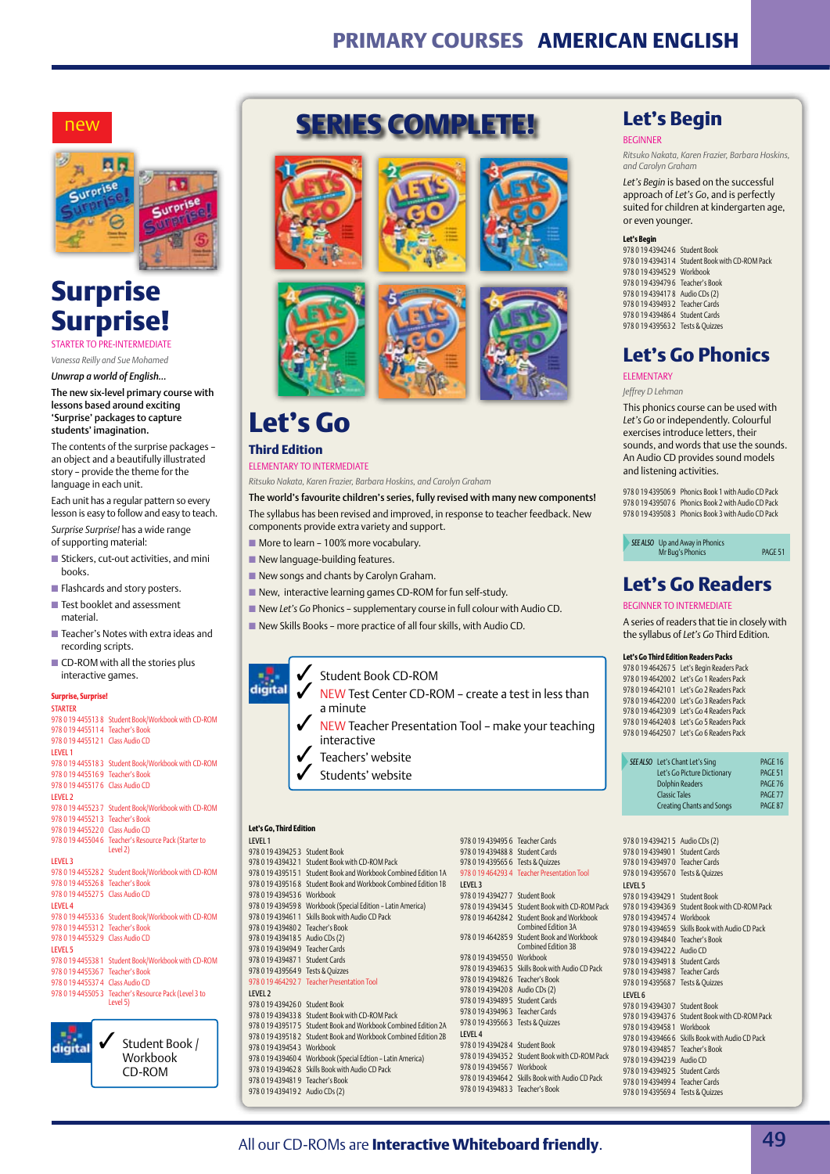### **Primary Courses American English**

#### new



## **Surprise Surprise!**

Starter to Pre-intermediate

*Vanessa Reilly and Sue Mohamed Unwrap a world of English…*

The new six-level primary course with lessons based around exciting 'Surprise' packages to capture students' imagination.

The contents of the surprise packages – an object and a beautifully illustrated story – provide the theme for the language in each unit.

Each unit has a regular pattern so every lesson is easy to follow and easy to teach. *Surprise Surprise!* has a wide range of supporting material:

- $\blacksquare$  Stickers, cut-out activities, and mini books.
- $\blacksquare$  Flashcards and story posters.
- $\blacksquare$  Test booklet and assessment material.
- $\blacksquare$  Teacher's Notes with extra ideas and recording scripts.
- $\blacksquare$  CD-ROM with all the stories plus interactive games.

#### **Surprise, Surprise! STARTER**

digital

|                                  | 978 0 19 445513 8 Student Book/Workbook with CD-ROM |
|----------------------------------|-----------------------------------------------------|
| 978 0 19 4455114                 | <b>Teacher's Book</b>                               |
| 978 0 19 445512 1                | Class Audio CD                                      |
| <b>IFVFI1</b>                    |                                                     |
| 978 0 19 445518 3                | Student Book/Workbook with CD-ROM                   |
| 9780194455169                    | <b>Teacher's Book</b>                               |
| 978 0 19 445517 6                | Class Audio CD                                      |
| <b>LEVEL 2</b>                   |                                                     |
| 978 0 19 445523 7                | Student Book/Workbook with CD-ROM                   |
| 978 0 19 445521 3 Teacher's Book |                                                     |
| 978 0 19 445522 0                | Class Audio CD                                      |
| 978 0 19 445504 6                | Teacher's Resource Pack (Starter to<br>Level 2)     |
| <b>LEVEL 3</b>                   |                                                     |
| 978 0 19 445528 2                | Student Book/Workbook with CD-ROM                   |
| 978 0 19 445526 8                | <b>Teacher's Book</b>                               |
| 978 0 19 445527 5                | Class Audio CD                                      |
| <b>LEVEL 4</b>                   |                                                     |
| 978 0 19 445533 6                | Student Book/Workbook with CD-ROM                   |
| 978 0 19 4455312                 | <b>Teacher's Book</b>                               |
| 978 0 19 445532 9                | Class Audio CD                                      |
| <b>LEVEL 5</b>                   |                                                     |
| 978 0 19 445538 1                | Student Book/Workbook with CD-ROM                   |
| 978 0 19 4455367                 | <b>Teacher's Book</b>                               |
| 978 0 19 4455374                 | <b>Class Audio CD</b>                               |
| 978 0 19 4455053                 | Teacher's Resource Pack (Level 3 to<br>Level 5)     |
|                                  |                                                     |

Student Book / Workbook CD-ROM









## **Let's Go**

#### **Third Edition** Elementary to Intermediate

*Ritsuko Nakata, Karen Frazier, Barbara Hoskins, and Carolyn Graham*

The world's favourite children's series, fully revised with many new components! The syllabus has been revised and improved, in response to teacher feedback. New components provide extra variety and support.

- $\blacksquare$  More to learn 100% more vocabulary.
- $\blacksquare$  New language-building features.
- $\blacksquare$  New songs and chants by Carolyn Graham.
- New, interactive learning games CD-ROM for fun self-study.
- **New Let's Go Phonics supplementary course in full colour with Audio CD.**
- $\blacksquare$  New Skills Books more practice of all four skills, with Audio CD.

#### 3 Student Book CD-ROM digital

- NEW Test Center CD-ROM create a test in less than a minute
- $\sqrt{\phantom{a}}$  NEW Teacher Presentation Tool make your teaching interactive
- Teachers' website
- Students' website

#### **Let's Go, Third Edition**

#### Level 1

978 0 19 439425 3 Student Book 978 0 19 439432 1 Student Book with CD-ROM Pack 978 0 19 439515 1 Student Book and Workbook Combined Edition 1A 978 0 19 439516 8 Student Book and Workbook Combined Edition 1B 978 0 19 439453 6 Workbook 978 0 19 439459 8 Workbook (Special Edition – Latin America) 978 0 19 439461 1 Skills Book with Audio CD Pack 978 0 19 439480 2 Teacher's Book 978 0 19 439418 5 Audio CDs (2) 978 0 19 439494 9 Teacher Cards 978 0 19 439487 1 Student Cards 978 0 19 439564 9 Tests & Quizzes 978 0 19 464292 7 Teacher Presentation Tool Level 2 978 0 19 439426 0 Student Book 978 0 19 439433 8 Student Book with CD-ROM Pack 978 0 19 439517 5 Student Book and Workbook Combined Ed 978 0 19 439518 2 Student Book and Workbook Combined Edition 2 978 0 19 439454 3 Workbook 978 0 19 439495 6 Teacher Cards 978 0 19 439488 8 Student Cards 978 0 19 439565 6 Tests & Quizzes 978 0 19 464293 4 Teacher Presentation Tool Level 3 978 0 19 439427 7 Student Book 978 0 19 439434 5 Student Book with CD-ROM Pack

978 0 19 439460 4 Workbook (Special Edtion – Latin America) 978 0 19 439462 8 Skills Book with Audio CD Pack 978 0 19 439481 9 Teacher's Book 978 0 19 439419 2 Audio CDs (2)

|          |                                   | 978 0 19 464284 2 Student Book and Workbook<br>Combined Edition 3A |
|----------|-----------------------------------|--------------------------------------------------------------------|
|          |                                   | 978 0 19 464285 9 Student Book and Workbook<br>Combined Edition 3B |
|          | 978 0 19 439455 0 Workbook        |                                                                    |
|          |                                   | 978 0 19 439463 5 Skills Book with Audio CD Pack                   |
|          | 978 0 19 439482 6 Teacher's Book  |                                                                    |
|          | 978 0 19 439420 8 Audio CDs (2)   |                                                                    |
|          | 978 0 19 439489 5 Student Cards   |                                                                    |
|          | 978 0 19 439496 3 Teacher Cards   |                                                                    |
| ition 2A | 978 0 19 439566 3 Tests & Ouizzes |                                                                    |
| ition 2B | LEVEL 4                           |                                                                    |
|          | 978 0 19 439428 4 Student Book    |                                                                    |
|          |                                   | 978 0 19 439435 2 Student Book with CD-ROM Pack                    |
|          | 978 0 19 439456 7 Workbook        |                                                                    |
|          |                                   | 978 0 19 439464 2 Skills Book with Audio CD Pack                   |

978 0 19 439483 3 Teacher's Book

### **BEGINNER** *Ritsuko Nakata, Karen Frazier, Barbara Hoskins, and Carolyn Graham*

*Let's Begin* is based on the successful approach of *Let's Go*, and is perfectly suited for children at kindergarten age, or even younger.

**Let's Begin** 

#### **Let's Begin**

978 0 19 439424 6 Student Book 978 0 19 439431 4 Student Book with CD-ROM Pack 978 0 19 439452 9 Workbook 978 0 19 439479 6 Teacher's Book 978 0 19 439417 8 Audio CDs (2) 978 0 19 439493 2 Teacher Cards 978 0 19 439486 4 Student Cards 978 0 19 439563 2 Tests & Quizzes

### **Let's Go Phonics**

#### Elementary

*Jeffrey D Lehman*

This phonics course can be used with *Let's Go* or independently. Colourful exercises introduce letters, their sounds, and words that use the sounds. An Audio CD provides sound models and listening activities.

978 0 19 439506 9 Phonics Book 1 with Audio CD Pack 978 0 19 439507 6 Phonics Book 2 with Audio CD Pack 978 0 19 439508 3 Phonics Book 3 with Audio CD Pack

**SEE ALSO** Up and Away in Phonics<br>Mr Bug's Phonics page 1946E 51

### **Let's Go Readers**

#### Beginner to Intermediate

A series of readers that tie in closely with the syllabus of *Let's Go* Third Edition*.*

#### **Let's Go Third Edition Readers Packs**

978 0 19 464267 5 Let's Begin Readers Pack 978 0 19 464200 2 Let's Go 1 Readers Pack 978 0 19 464210 1 Let's Go 2 Readers Pack 978 0 19 464220 0 Let's Go 3 Readers Pack 978 0 19 464230 9 Let's Go 4 Readers Pack 978 0 19 464240 8 Let's Go 5 Readers Pack 978 0 19 464250 7 Let's Go 6 Readers Pack

| SEE ALSO Let's Chant Let's Sing  | PAGE 16            |
|----------------------------------|--------------------|
| Let's Go Picture Dictionary      | PAGF <sub>51</sub> |
| <b>Dolphin Readers</b>           | PAGF <sub>76</sub> |
| <b>Classic Tales</b>             | PAGF <sub>77</sub> |
| <b>Creating Chants and Songs</b> | PAGF <sub>87</sub> |
|                                  |                    |

| 978 0 19 439421 5                 | Audio CDs (2)                  |
|-----------------------------------|--------------------------------|
| 9780194394901                     | Student Cards                  |
| 9780194394970                     | Teacher Cards                  |
| 9780194395670                     | Tests & Quizzes                |
| LEVEL 5                           |                                |
| 9780194394291                     | Student Book                   |
| 9780194394369                     | Student Book with CD-ROM Pack  |
| 9780194394574                     | Workbook                       |
| 9780194394659                     | Skills Book with Audio CD Pack |
| 9780194394840                     | Teacher's Book                 |
| 9780194394222                     | Audio CD                       |
| 9780194394918                     | Student Cards                  |
| 9780194394987                     | Teacher Cards                  |
| 9780194395687                     | Tests & Quizzes                |
| <b>IFVEL 6</b>                    |                                |
| 9780194394307                     | Student Book                   |
| 9780194394376                     | Student Book with CD-ROM Pack  |
| 9780194394581                     | Workbook                       |
| 9780194394666                     | Skills Book with Audio CD Pack |
| 9780194394857                     | Teacher's Book                 |
| 9780194394239                     | Audio CD                       |
| 9780194394925                     | <b>Student Cards</b>           |
| 978 0 19 439499 4 Teacher Cards   |                                |
| 978 0 19 439569 4 Tests & Quizzes |                                |
|                                   |                                |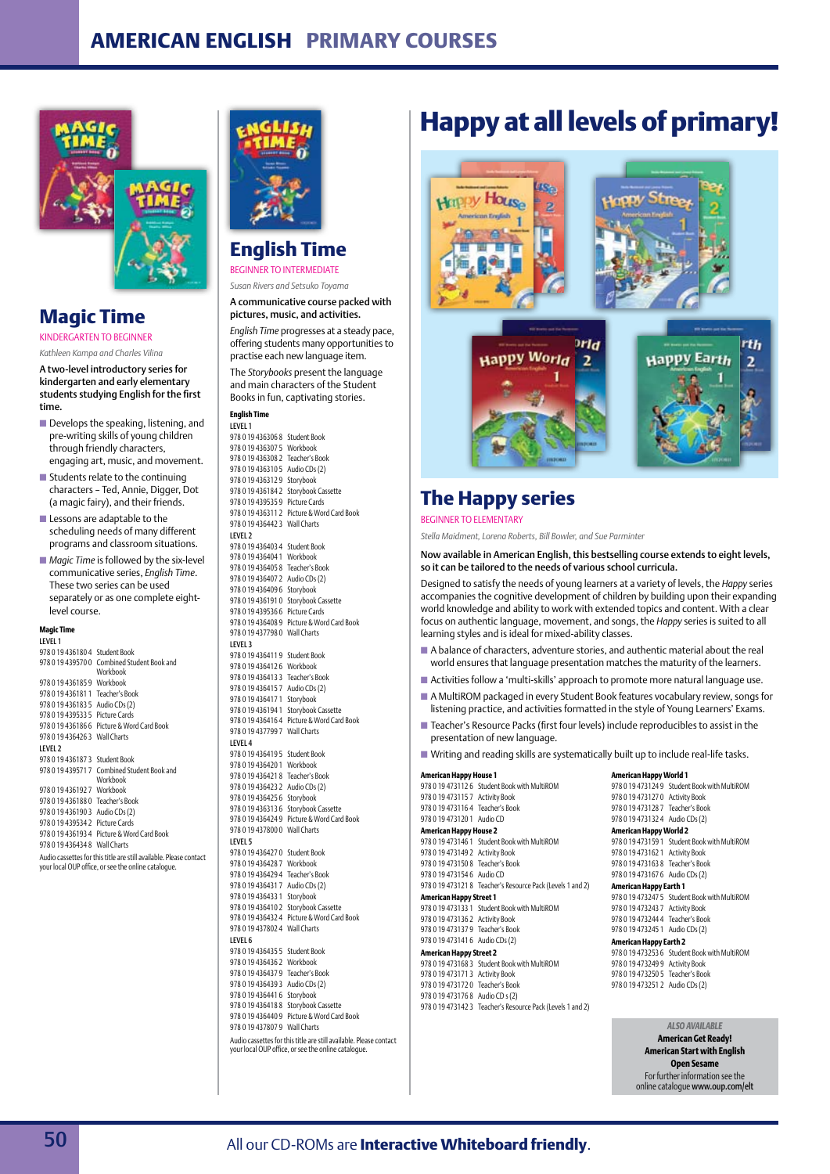

### **Magic Time**

Kindergarten to Beginner *Kathleen Kampa and Charles Vilina*

A two-level introductory series for kindergarten and early elementary students studying English for the first time.

- $\blacksquare$  Develops the speaking, listening, and pre-writing skills of young children through friendly characters, engaging art, music, and movement.
- $\blacksquare$  Students relate to the continuing characters – Ted, Annie, Digger, Dot (a magic fairy), and their friends.
- $\blacksquare$  Lessons are adaptable to the scheduling needs of many different programs and classroom situations.
- *Magic Time* is followed by the six-level communicative series, *English Time*. These two series can be used separately or as one complete eightlevel course.

#### **Magic Time**

Level 1 978 0 19 436180 4 Student Book 978 0 19 439570 0 Combined Student Book and Workbook 978 0 19 436185 9 Workbook 978 0 19 436181 1 Teacher's Book 978 0 19 436183 5 Audio CDs (2) 978 0 19 439533 5 Picture Cards 978 0 19 436186 6 Picture & Word Card Book 978 0 19 436426 3 Wall Charts LEVEL<sub>2</sub> 978 0 19 436187 3 Student Book 978 0 19 439571 7 Combined Student Book and Workbook 978 0 19 436192 7 Workbook 978 0 19 436188 0 Teacher's Book 978 0 19 436190 3 Audio CDs (2) 978 0 19 439534 2 Picture Cards 978 0 19 436193 4 Picture & Word Card Book 978 0 19 436434 8 Wall Charts Audio cassettes for this title are still available. Please contact your local OUP office, or see the online catalogue.



### **English Time**

Beginner to Intermediate *Susan Rivers and Setsuko Toyama*

A communicative course packed with pictures, music, and activities.

*English Time* progresses at a steady pace, offering students many opportunities to practise each new language item.

The *Storybooks* present the language and main characters of the Student Books in fun, captivating stories.

#### **English Time**  Level 1

### **Happy at all levels of primary!**



### **The Happy series**

#### Beginner to elementary

*Stella Maidment, Lorena Roberts, Bill Bowler, and Sue Parminter*

Now available in American English, this bestselling course extends to eight levels, so it can be tailored to the needs of various school curricula.

Designed to satisfy the needs of young learners at a variety of levels, the *Happy* series accompanies the cognitive development of children by building upon their expanding world knowledge and ability to work with extended topics and content. With a clear focus on authentic language, movement, and songs, the *Happy* series is suited to all learning styles and is ideal for mixed-ability classes.

- $\blacksquare$  A balance of characters, adventure stories, and authentic material about the real world ensures that language presentation matches the maturity of the learners.
- Activities follow a 'multi-skills' approach to promote more natural language use. ■ A MultiROM packaged in every Student Book features vocabulary review, songs for
- listening practice, and activities formatted in the style of Young Learners' Exams.
- Teacher's Resource Packs (first four levels) include reproducibles to assist in the presentation of new language.
- Writing and reading skills are systematically built up to include real-life tasks.

#### **American Happy House 1**

978 0 19 473112 6 Student Book with MultiROM 978 0 19 473115 7 Activity Book 978 0 19 473116 4 Teacher's Book 978 0 19 473120 1 Audio CD **American Happy House 2**  978 0 19 473146 1 Student Book with MultiROM 978 0 19 473149 2 Activity Book 978 0 19 473150 8 Teacher's Book 978 0 19 473154 6 Audio CD 978 0 19 473121 8 Teacher's Resource Pack (Levels 1 and 2) **American Happy Street 1**  978 0 19 473133 1 Student Book with MultiROM 978 0 19 473136 2 Activity Book 978 0 19 473137 9 Teacher's Book 978 0 19 473141 6 Audio CDs (2) **American Happy Street 2**  978 0 19 473168 3 Student Book with MultiROM 978 0 19 473171 3 Activity Book 978 0 19 473172 0 Teacher's Book 978 0 19 473176 8 Audio CD s (2) 978 0 19 473142 3 Teacher's Resource Pack (Levels 1 and 2)

**American Happy World 1**  978 0 19 473124 9 Student Book with MultiROM 978 0 19 473127 0 Activity Book 978 0 19 473128 7 Teacher's Book 978 0 19 473132 4 Audio CDs (2) **American Happy World 2**  978 0 19 473159 1 Student Book with MultiROM 978 0 19 473162 1 Activity Book 978 0 19 473163 8 Teacher's Book 978 0 19 473167 6 Audio CDs (2) **American Happy Earth 1**  978 0 19 473247 5 Student Book with MultiROM 978 0 19 473243 7 Activity Book 978 0 19 473244 4 Teacher's Book 978 0 19 473245 1 Audio CDs (2) **American Happy Earth 2**  978 0 19 473253 6 Student Book with MultiROM 978 0 19 473249 9 Activity Book 978 0 19 473250 5 Teacher's Book 978 0 19 473251 2 Audio CDs (2)

#### *ALSO AVAILABLE*  **American Get Ready!**

**American Start with English Open Sesame** For further information see the online catalogue www.oup.com/elt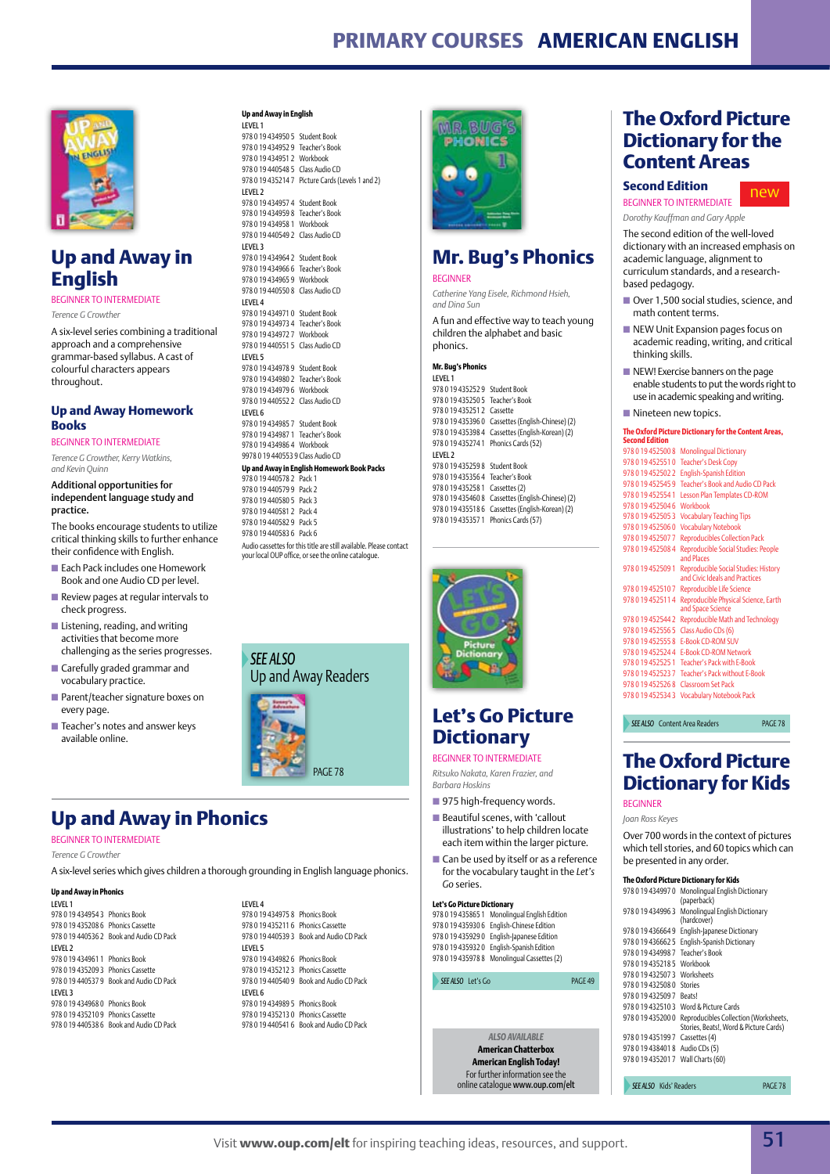### **Primary Courses American English**



### **Up and Away in English**

Beginner to Intermediate

*Terence G Crowther*

A six-level series combining a traditional approach and a comprehensive grammar-based syllabus. A cast of colourful characters appears throughout.

#### **Up and Away Homework Books**

BEGINNER TO INTERMEDIATE *Terence G Crowther, Kerry Watkins,*

*and Kevin Quinn*  Additional opportunities for

independent language study and practice.

The books encourage students to utilize critical thinking skills to further enhance their confidence with English.

- $\blacksquare$  Each Pack includes one Homework Book and one Audio CD per level.
- $\blacksquare$  Review pages at regular intervals to check progress.
- $\blacksquare$  Listening, reading, and writing activities that become more challenging as the series progresses.
- $\blacksquare$  Carefully graded grammar and vocabulary practice.
- $\blacksquare$  Parent/teacher signature boxes on every page.
- Teacher's notes and answer keys available online.

#### **Up and Away in English** Level 1



### **Mr. Bug's Phonics**

#### **BEGINNER**

*Catherine Yang Eisele, Richmond Hsieh, and Dina Sun*

A fun and effective way to teach young children the alphabet and basic phonics.

#### **Mr. Bug's Phonics**  Level 1

978 0 19 435252 9 Student Book 978 0 19 435250 5 Teacher's Book 978 0 19 435251 2 Cassette 978 0 19 435396 0 Cassettes (English-Chinese) (2) 978 0 19 435398 4 Cassettes (English-Korean) (2) 978 0 19 435274 1 Phonics Cards (52) Level 2 978 0 19 435259 8 Student Book 978 0 19 435356 4 Teacher's Book 978 0 19 435258 1 Cassettes (2) 978 0 19 435460 8 Cassettes (English-Chinese) (2) 978 0 19 435518 6 Cassettes (English-Korean) (2) 978 0 19 435357 1 Phonics Cards (57)



### **Let's Go Picture Dictionary**

#### Beginner to Intermediate

*Ritsuko Nakata, Karen Frazier, and Barbara Hoskins*

- 975 high-frequency words.
- $\blacksquare$  Beautiful scenes, with 'callout illustrations' to help children locate each item within the larger picture.
- $\blacksquare$  Can be used by itself or as a reference for the vocabulary taught in the *Let's Go* series.

**Let's Go Picture Dictionary** 978 0 19 435865 1 Monolingual English Edition

978 0 19 435930 6 English-Chinese Edition 978 0 19 435929 0 English-Japanese Edition 978 0 19 435932 0 English-Spanish Edition 978 0 19 435978 8 Monolingual Cassettes (2)

#### **SEE ALSO** Let's Go **page 49**

*ALSO AVAILABLE*  **American Chatterbox American English Today!** For further information see the online catalogue www.oup.com/elt **SEE ALSO** Kids' Readers **page 78** 

### **The Oxford Picture Dictionary for the Content Areas**

#### **Second Edition**

Beginner to Intermediate new

*Dorothy Kauffman and Gary Apple*

The second edition of the well-loved dictionary with an increased emphasis on academic language, alignment to curriculum standards, and a researchbased pedagogy.

- Over 1,500 social studies, science, and math content terms.
- $\blacksquare$  NEW Unit Expansion pages focus on academic reading, writing, and critical thinking skills.
- **n** NEW! Exercise banners on the page enable students to put the words right to use in academic speaking and writing.
- Nineteen new topics.

#### **The Oxford Picture Dictionary for the Content Areas,**

| Second Edition      |                                                                        |
|---------------------|------------------------------------------------------------------------|
| 978 0 19 452500 8   | <b>Monolingual Dictionary</b>                                          |
| 9780194525510       | <b>Teacher's Desk Copy</b>                                             |
| 9780194525022       | <b>English-Spanish Edition</b>                                         |
| 978 0 19 452545 9   | Teacher's Book and Audio CD Pack                                       |
| 978 0 19 452554 1   | Lesson Plan Templates CD-ROM                                           |
| 978 0 19 452504 6   | Workbook                                                               |
| 978 0 19 4525053    | <b>Vocabulary Teaching Tips</b>                                        |
| 9780194525060       | <b>Vocabulary Notebook</b>                                             |
| 9780194525077       | <b>Reproducibles Collection Pack</b>                                   |
| 9780194525084       | Reproducible Social Studies: People<br>and Places                      |
| 978 0 19 452509 1   | Reproducible Social Studies: History<br>and Civic Ideals and Practices |
| 9780194525107       | Reproducible Life Science                                              |
| 978 0 19 452511 4   | Reproducible Physical Science, Earth<br>and Space Science              |
| 9780194525442       | Reproducible Math and Technology                                       |
| 9780194525565       | Class Audio CDs (6)                                                    |
| 9780194525558       | <b>F-Book CD-ROM SUV</b>                                               |
| 9780194525244       | <b>F-Book CD-ROM Network</b>                                           |
| 9780194525251       | Teacher's Pack with E-Book                                             |
| 978 0 19 45 25 23 7 | <b>Teacher's Pack without F-Book</b>                                   |
| 9780194525268       | <b>Classroom Set Pack</b>                                              |
| 9780194525343       | <b>Vocabulary Notebook Pack</b>                                        |
|                     |                                                                        |

**SEE ALSO** Content Area Readers **PAGE 78** 

### **The Oxford Picture Dictionary for Kids** Beginner

*Joan Ross Keyes*

Over 700 words in the context of pictures which tell stories, and 60 topics which can be presented in any order.

|               | The Oxford Picture Dictionary for Kids                                          |
|---------------|---------------------------------------------------------------------------------|
| 9780194349970 | Monolingual English Dictionary<br>(paperback)                                   |
| 9780194349963 | Monolingual English Dictionary<br>(hardcover)                                   |
| 9780194366649 | English-Japanese Dictionary                                                     |
| 9780194366625 | English-Spanish Dictionary                                                      |
| 9780194349987 | Teacher's Book                                                                  |
| 9780194352185 | Workbook                                                                        |
| 9780194325073 | Worksheets                                                                      |
| 9780194325080 | Stories                                                                         |
| 9780194325097 | Reatsl                                                                          |
| 9780194325103 | Word & Picture Cards                                                            |
| 9780194352000 | Reproducibles Collection (Worksheets,<br>Stories, Beats!, Word & Picture Cards) |
| 9780194351997 | Cassettes (4)                                                                   |
| 9780194384018 | Audio CDs (5)                                                                   |
| 9780194352017 | Wall Charts (60)                                                                |
|               |                                                                                 |

Visit **www.oup.com/elt** for inspiring teaching ideas, resources, and support. 51

**Up and Away in Phonics**

#### Beginner to Intermediate

*Terence G Crowther*

A six-level series which gives children a thorough grounding in English language phonics.

#### **Up and Away in Phonics**

# Up and Away Readers

*See also*

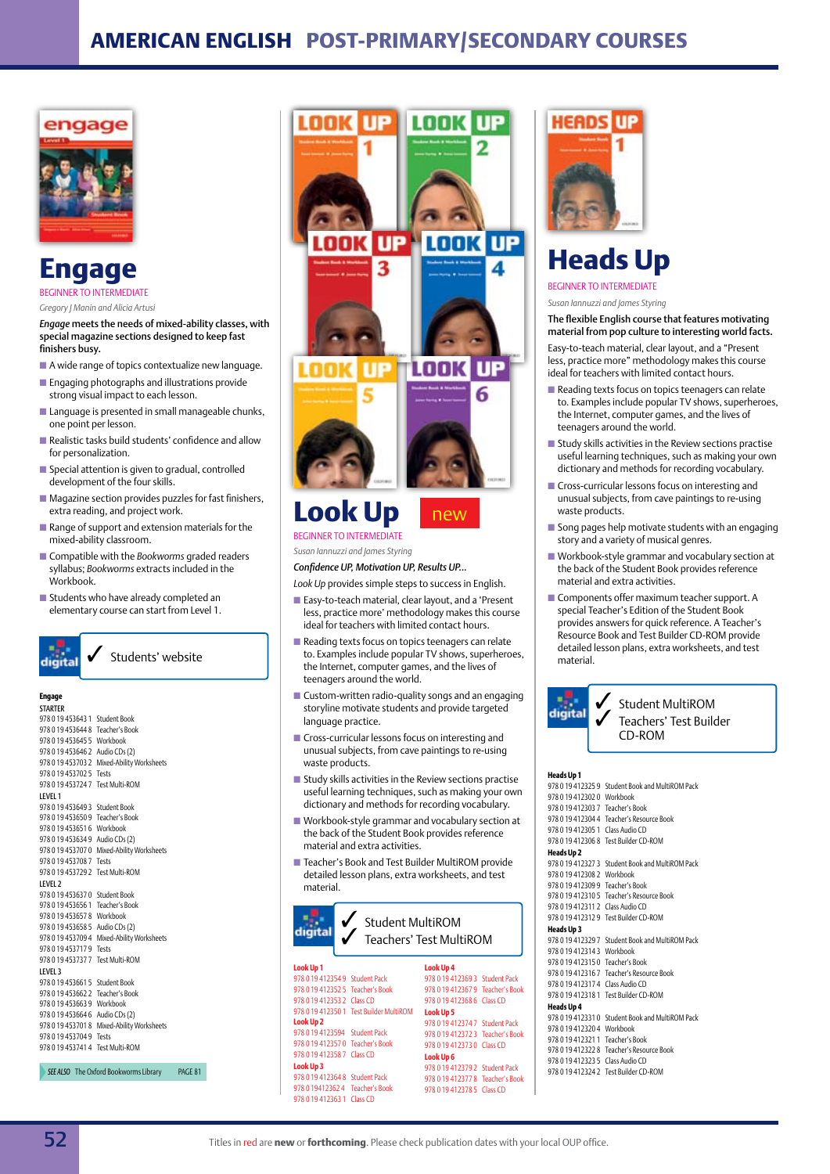

### **Engage INED TO INTERMEDIATE**

*Gregory J Manin and Alicia Artusi*

*Engage* meets the needs of mixed-ability classes, with special magazine sections designed to keep fast finishers busy.

- $\blacksquare$  A wide range of topics contextualize new language.
- $\blacksquare$  Engaging photographs and illustrations provide strong visual impact to each lesson.
- $\blacksquare$  Language is presented in small manageable chunks, one point per lesson.
- $\blacksquare$  Realistic tasks build students' confidence and allow for personalization.
- $\blacksquare$  Special attention is given to gradual, controlled development of the four skills.
- $\blacksquare$  Magazine section provides puzzles for fast finishers, extra reading, and project work.
- $\blacksquare$  Range of support and extension materials for the mixed-ability classroom.
- Compatible with the *Bookworms* graded readers syllabus; *Bookworms* extracts included in the Workbook.
- $\blacksquare$  Students who have already completed an elementary course can start from Level 1.



Students' website

#### **Engage STARTER**

| 978 0 19 45 364 3 1              | <b>Student Book</b>                   |                    |
|----------------------------------|---------------------------------------|--------------------|
| 9780194536448                    | Teacher's Book                        |                    |
| 978 0 19 453645 5 Workbook       |                                       |                    |
| 978 0 19 453 646 2               | Audio CDs (2)                         |                    |
| 978 0 19 453703 2                | Mixed-Ability Worksheets              |                    |
| 978 0 19 45 370 2 5              | Tests                                 |                    |
| 9780194537247                    | <b>Test Multi-ROM</b>                 |                    |
| LEVEL 1                          |                                       |                    |
| 978 0 19 45 3649 3               | <b>Student Book</b>                   |                    |
| 978 0 19 453650 9 Teacher's Book |                                       |                    |
| 978 0 19 453651 6 Workbook       |                                       |                    |
| 9780194536349                    | Audio CDs (2)                         |                    |
| 9780194537070                    | Mixed-Ability Worksheets              |                    |
| 9780194537087                    | Tests                                 |                    |
| 9780194537292                    | <b>Test Multi-ROM</b>                 |                    |
| LEVEL <sub>2</sub>               |                                       |                    |
| 978 0 19 453637 0                | <b>Student Book</b>                   |                    |
| 978 0 19 45 36 56 1              | Teacher's Book                        |                    |
| 978 0 19 45 36 57 8              | Workbook                              |                    |
| 978 0 19 453658 5                | Audio CDs (2)                         |                    |
| 978 0 19 453709 4                | Mixed-Ability Worksheets              |                    |
| 9780194537179                    | Tests                                 |                    |
| 978 0 19 453737 7 Test Multi-ROM |                                       |                    |
| LEVEL 3                          |                                       |                    |
| 978 0 19 453 661 5               | Student Book                          |                    |
| 978 0 19 453662 2 Teacher's Book |                                       |                    |
| 978 0 19 453663 9 Workbook       |                                       |                    |
| 978 0 19 453664 6                | Audio CDs (2)                         |                    |
| 978 0 19 4537018                 | Mixed-Ability Worksheets              |                    |
| 978 0 19 45 370 4 9              | Tests                                 |                    |
| 978 0 19 453741 4 Test Multi-ROM |                                       |                    |
|                                  |                                       |                    |
|                                  | SEE ALSO The Oxford Bookworms Library | PAGF <sub>81</sub> |



### **Look Up** beginner to intermediate

*Susan Iannuzzi and James Styring Confidence UP, Motivation UP, Results UP...*

*Look Up* provides simple steps to success in English.

- Easy-to-teach material, clear layout, and a 'Present less, practice more' methodology makes this course ideal for teachers with limited contact hours.
- $\blacksquare$  Reading texts focus on topics teenagers can relate to. Examples include popular TV shows, superheroes, the Internet, computer games, and the lives of teenagers around the world.
- $\blacksquare$  Custom-written radio-quality songs and an engaging storyline motivate students and provide targeted language practice.
- $\blacksquare$  Cross-curricular lessons focus on interesting and unusual subjects, from cave paintings to re-using waste products.
- $\blacksquare$  Study skills activities in the Review sections practise useful learning techniques, such as making your own dictionary and methods for recording vocabulary.
- $\blacksquare$  Workbook-style grammar and vocabulary section at the back of the Student Book provides reference material and extra activities.
- Teacher's Book and Test Builder MultiROM provide detailed lesson plans, extra worksheets, and test material.

|                                  | <b>Student MultiROM</b>                 | Teachers' Test MultiROM          |  |
|----------------------------------|-----------------------------------------|----------------------------------|--|
| Look Up 1                        |                                         | Look Up 4                        |  |
| 978 0 19 412354 9 Student Pack   |                                         | 978 0 19 412369 3 Student Pack   |  |
| 978 0 19 412352 5 Teacher's Book |                                         | 978 0 19 412367 9 Teacher's Book |  |
| 978 0 19 412353 2 Class CD       |                                         | 978 0 19 412368 6 Class CD       |  |
|                                  | 978 0 19 412350 1 Test Builder MultiROM | Look Up 5                        |  |
| Look Up 2                        |                                         | 978 0 19 412374 7 Student Pack   |  |
| 978 0 19 4123594 Student Pack    |                                         | 978 0 19 412372 3 Teacher's Book |  |
| 978 0 19 412357 0 Teacher's Book |                                         | 978 0 19 412373 0 Class CD       |  |
| 978 0 19 412358 7 Class CD       |                                         | Look Up 6                        |  |
| Look Up 3                        |                                         | 978 0 19 412379 2 Student Pack   |  |
| 978 0 19 412364 8 Student Pack   |                                         | 978 0 19 412377 8 Teacher's Book |  |
| 978 0 19412362 4 Teacher's Book  |                                         | 978 0 19 412378 5 Class CD       |  |



### **Heads Up**

Beginner to Intermediate

*Susan Iannuzzi and James Styring* 

The flexible English course that features motivating material from pop culture to interesting world facts.

Easy-to-teach material, clear layout, and a "Present less, practice more" methodology makes this course ideal for teachers with limited contact hours.

- $\blacksquare$  Reading texts focus on topics teenagers can relate to. Examples include popular TV shows, superheroes, the Internet, computer games, and the lives of teenagers around the world.
- $\blacksquare$  Study skills activities in the Review sections practise useful learning techniques, such as making your own dictionary and methods for recording vocabulary.
- $\blacksquare$  Cross-curricular lessons focus on interesting and unusual subjects, from cave paintings to re-using waste products.
- $\blacksquare$  Song pages help motivate students with an engaging story and a variety of musical genres.
- $\blacksquare$  Workbook-style grammar and vocabulary section at the back of the Student Book provides reference material and extra activities.
- $\blacksquare$  Components offer maximum teacher support. A special Teacher's Edition of the Student Book provides answers for quick reference. A Teacher's Resource Book and Test Builder CD-ROM provide detailed lesson plans, extra worksheets, and test material.



#### **Heads Up 1**

| 9780194123259                    | Student Book and MultiROM Pack        |
|----------------------------------|---------------------------------------|
| 9780194123020                    | Workbook                              |
| 9780194123037                    | Teacher's Book                        |
| 9780194123044                    | Teacher's Resource Book               |
| 978 0 19 41 23 05 1              | Class Audio CD                        |
| 978 0 19 412306 8                | Test Builder CD-ROM                   |
| <b>Heads Up 2</b>                |                                       |
| 978 0 19 412327 3                | Student Book and MultiROM Pack        |
| 978 0 19 412308 2 Workbook       |                                       |
| 978 0 19 412309 9 Teacher's Book |                                       |
| 978 0 19 4 12 3 10 5             | Teacher's Resource Book               |
| 9780194123112                    | Class Audio CD                        |
|                                  | 978 0 19 412312 9 Test Builder CD-ROM |
| <b>Heads Up 3</b>                |                                       |
| 978 0 19 412329 7                | Student Book and MultiROM Pack        |
| 978 0 19 4 12 3 14 3             | Workbook                              |
| 9780194123150                    | Teacher's Book                        |
| 978 0 19 4 12 3 16 7             | Teacher's Resource Book               |
| 978 0 19 4123174                 | Class Audio CD                        |
| 978 0 19 412318 1                | Test Builder CD-ROM                   |
| <b>Heads Up 4</b>                |                                       |
| 978 0 19 4123310                 | Student Book and MultiROM Pack        |
| 9780194123204                    | Workbook                              |
| 978 0 19 412321 1                | Teacher's Book                        |
| 9780194123228                    | Teacher's Resource Book               |
| 9780194123235                    |                                       |
|                                  | Class Audio CD                        |
| 9780194123242                    | Test Builder CD-ROM                   |

978 0 19 412363 1 Class CD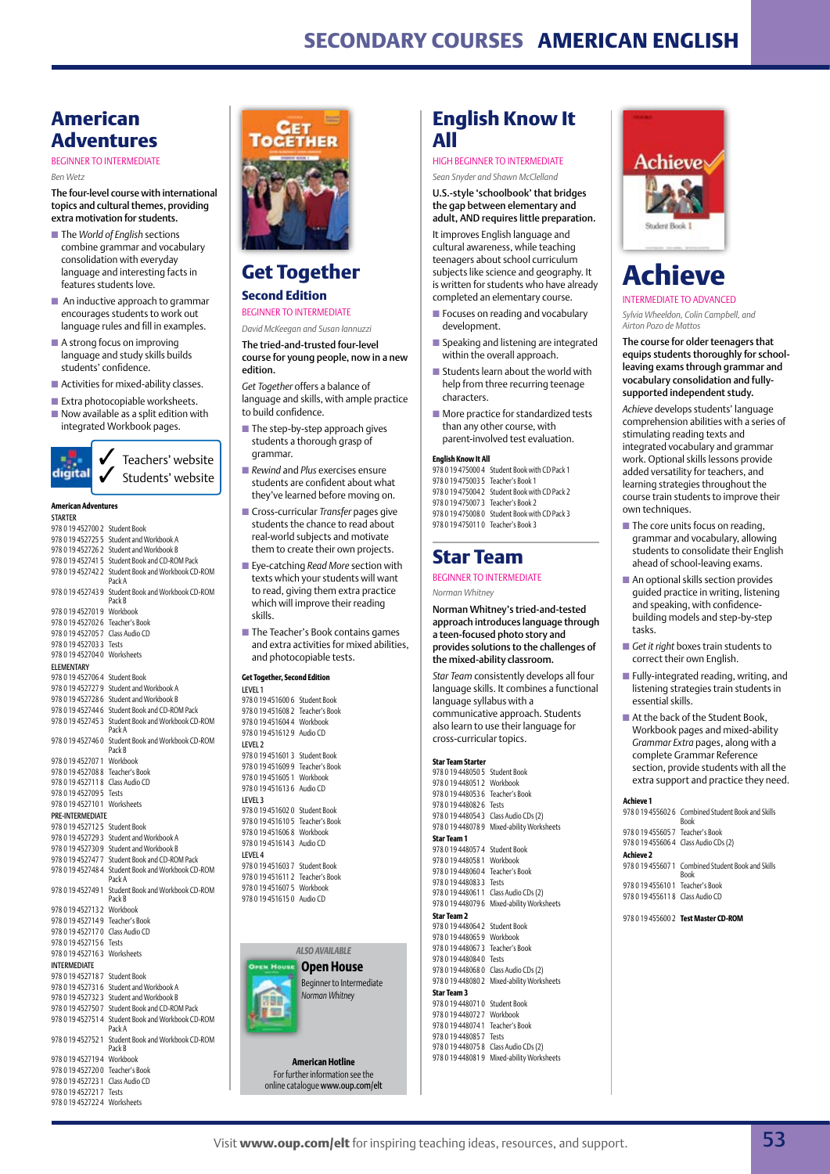### **Secondary Courses American English**

### **American Adventures**

#### Beginner to Intermediate

*Ben Wetz*

The four-level course with international topics and cultural themes, providing extra motivation for students.

- The *World of English* sections combine grammar and vocabulary consolidation with everyday language and interesting facts in features students love.
- $\blacksquare$  An inductive approach to grammar encourages students to work out language rules and fill in examples.
- $\blacksquare$  A strong focus on improving language and study skills builds students' confidence.
- $\blacksquare$  Activities for mixed-ability classes.
- $\blacksquare$  Extra photocopiable worksheets.  $\blacksquare$  Now available as a split edition with
- integrated Workbook pages.



#### **American Adventures**

| SIARIER             |                                            |
|---------------------|--------------------------------------------|
| 9780194527002       | <b>Student Book</b>                        |
| 978 0 19 45 27 25 5 | Student and Workbook A                     |
| 9780194527262       | Student and Workbook B                     |
| 978 0 19 45 2741 5  | Student Book and CD-ROM Pack               |
| 978 0 19 452742 2   | Student Book and Workbook CD-ROM<br>Pack A |
| 978 0 19 452743 9   | Student Book and Workbook CD-ROM<br>Pack B |
| 978 0 19 452701 9   | Workbook                                   |
| 978 0 19 452702 6   | Teacher's Book                             |
| 978 0 19 45 2705 7  | Class Audio CD                             |
| 978 0 19 45 270 3 3 | Tests                                      |
| 978 0 19 452704 0   | Worksheets                                 |
| <b>ELEMENTARY</b>   |                                            |
| 978 0 19 45 270 64  | <b>Student Book</b>                        |
| 978 0 19 45 27 27 9 | Student and Workbook A                     |
| 978 0 19 452728 6   | Student and Workbook B                     |
| 978 0 19 452744 6   | Student Book and CD-ROM Pack               |
| 978 0 19 45 27 45 3 | Student Book and Workbook CD-ROM<br>Pack A |
| 978 0 19 452746 0   | Student Book and Workbook CD-ROM<br>Pack B |
| 978 0 19 45 270 71  | Workbook                                   |
| 978 0 19 452708 8   | Teacher's Book                             |
| 978 0 19 45 2711 8  | Class Audio CD                             |
| 978 0 19 45 270 95  | Tests                                      |
| 978 0 19 452710 1   | Worksheets                                 |
| PRE-INTERMEDIATE    |                                            |
| 978 0 19 45 27 12 5 | <b>Student Book</b>                        |
| 978 0 19 452729 3   | Student and Workbook A                     |
| 978 0 19 452730 9   | Student and Workbook B                     |
| 978 0 19 452747 7   | Student Book and CD-ROM Pack               |
| 978 0 19 452748 4   | Student Book and Workbook CD-ROM<br>Pack A |
| 978 0 19 452749 1   | Student Book and Workbook CD-ROM<br>Pack B |
| 978 0 19 45 27 13 2 | Workbook                                   |
| 978 0 19 45 27 14 9 | Teacher's Book                             |
| 978 0 19 452717 0   | Class Audio CD                             |
| 978 0 19 45 27 15 6 | Tests                                      |
| 978 0 19 452716 3   | Worksheets                                 |
| <b>INTERMEDIATE</b> |                                            |
| 978 0 19 45 27 18 7 | <b>Student Book</b>                        |
| 978 0 19 452731 6   | Student and Workbook A                     |
| 978 0 19 452732 3   | Student and Workbook B                     |
| 978 0 19 45 275 0 7 | Student Book and CD-ROM Pack               |
| 978 0 19 45 2751 4  | Student Book and Workbook CD-ROM<br>Pack A |
| 978 0 19 452752 1   | Student Book and Workbook CD-ROM<br>Pack B |
| 978 0 19 452719 4   | Workbook                                   |
| 978 0 19 45 27 20 0 | Teacher's Book                             |
| 978 0 19 45 27 23 1 | Class Audio CD                             |
| 978 0 19 4527217    | Tests                                      |

978 0 19 452722 4 Worksheets



### **Get Together**

#### **Second Edition** Beginner to Intermediate

#### *David McKeegan and Susan Iannuzzi*

The tried-and-trusted four-level course for young people, now in a new edition.

*Get Together* offers a balance of language and skills, with ample practice to build confidence.

- $\blacksquare$  The step-by-step approach gives students a thorough grasp of grammar.
- *Rewind* and *Plus* exercises ensure students are confident about what they've learned before moving on.
- **n** Cross-curricular *Transfer* pages give students the chance to read about real-world subjects and motivate them to create their own projects.
- Eye-catching *Read More* section with texts which your students will want to read, giving them extra practice which will improve their reading skills.
- The Teacher's Book contains games and extra activities for mixed abilities, and photocopiable tests.

#### **Get Together, Second Edition**



**American Hotline** For further information see the online catalogue www.oup.com/elt

### **English Know It All**

### High Beginner to Intermediate

*Sean Snyder and Shawn McClelland* U.S.-style 'schoolbook' that bridges the gap between elementary and adult, AND requires little preparation.

It improves English language and cultural awareness, while teaching teenagers about school curriculum subjects like science and geography. It is written for students who have already completed an elementary course.

- $\blacksquare$  Focuses on reading and vocabulary development.
- **n** Speaking and listening are integrated within the overall approach.
- $\blacksquare$  Students learn about the world with help from three recurring teenage characters.
- $\blacksquare$  More practice for standardized tests than any other course, with parent-involved test evaluation.

#### **English Know It All**

978 0 19 475000 4 Student Book with CD Pack 1 978 0 19 475003 5 Teacher's Book 1 978 0 19 475004 2 Student Book with CD Pack 2 978 0 19 475007 3 Teacher's Book 2 978 0 19 475008 0 Student Book with CD Pack 3 978 0 19 475011 0 Teacher's Book 3

### **Star Team**

#### BEGINNER TO INTERMEDIATE

*Norman Whitney*

Norman Whitney's tried-and-tested approach introduces language through a teen-focused photo story and provides solutions to the challenges of the mixed-ability classroom.

*Star Team* consistently develops all four language skills. It combines a functional language syllabus with a communicative approach. Students also learn to use their language for cross-curricular topics.

#### **Star Team Starter**



### **Achieve** Intermediate to Advanced

*Sylvia Wheeldon, Colin Campbell, and Airton Pozo de Mattos*

The course for older teenagers that equips students thoroughly for schoolleaving exams through grammar and vocabulary consolidation and fullysupported independent study.

*Achieve* develops students' language comprehension abilities with a series of stimulating reading texts and integrated vocabulary and grammar work. Optional skills lessons provide added versatility for teachers, and learning strategies throughout the course train students to improve their own techniques.

- $\blacksquare$  The core units focus on reading, grammar and vocabulary, allowing students to consolidate their English ahead of school-leaving exams.
- $\blacksquare$  An optional skills section provides guided practice in writing, listening and speaking, with confidencebuilding models and step-by-step tasks.
- *Get it right* boxes train students to correct their own English.
- $\blacksquare$  Fully-integrated reading, writing, and listening strategies train students in essential skills.
- $\blacksquare$  At the back of the Student Book, Workbook pages and mixed-ability *Grammar Extra* pages, along with a complete Grammar Reference section, provide students with all the extra support and practice they need.

#### **Achieve 1**

978 0 19 455602 6 Combined Student Book and Skills Book 978 0 19 455605 7 Teacher's Book 978 0 19 455606 4 Class Audio CDs (2) **Achieve 2** 978 0 19 455607 1 Combined Student Book and Skills Book

978 0 19 455610 1 Teacher's Book 978 0 19 455611 8 Class Audio CD

978 0 19 455600 2 **Test Master CD-ROM**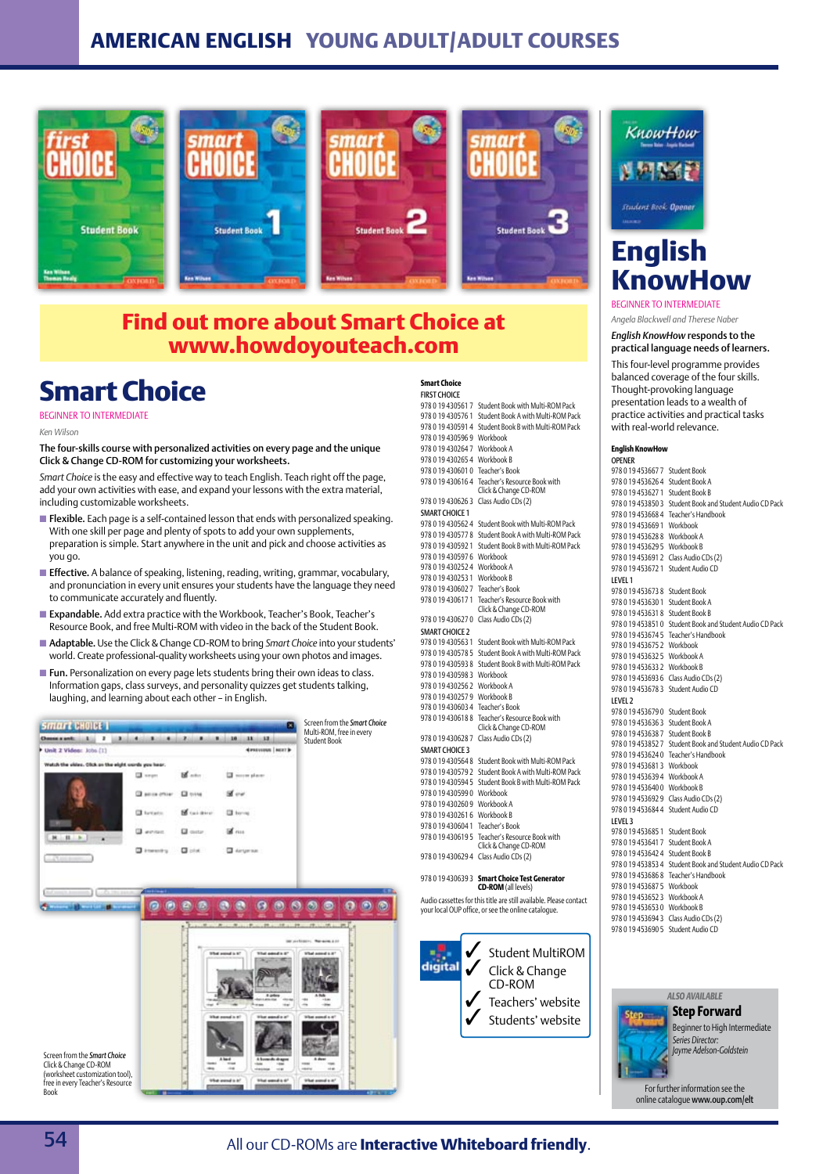### **American English Young Adult/Adult Courses**



### **Find out more about Smart Choice at www.howdoyouteach.com**

## **Smart Choice**

#### Beginner to Intermediate

*Ken Wilson* 

The four-skills course with personalized activities on every page and the unique Click & Change CD-ROM for customizing your worksheets.

*Smart Choice* is the easy and effective way to teach English. Teach right off the page, add your own activities with ease, and expand your lessons with the extra material, including customizable worksheets.

- **Flexible.** Each page is a self-contained lesson that ends with personalized speaking. With one skill per page and plenty of spots to add your own supplements, preparation is simple. Start anywhere in the unit and pick and choose activities as you go.
- **Effective.** A balance of speaking, listening, reading, writing, grammar, vocabulary, and pronunciation in every unit ensures your students have the language they need to communicate accurately and fluently.
- Expandable. Add extra practice with the Workbook, Teacher's Book, Teacher's Resource Book, and free Multi-ROM with video in the back of the Student Book.
- Adaptable. Use the Click & Change CD-ROM to bring *Smart Choice* into your students' world. Create professional-quality worksheets using your own photos and images.
- Fun. Personalization on every page lets students bring their own ideas to class. Information gaps, class surveys, and personality quizzes get students talking, laughing, and learning about each other – in English.



#### **Smart Choice**

| FIRST CHOICE          |                                                       |
|-----------------------|-------------------------------------------------------|
| 978 0 19 430561 7     | Student Book with Multi-ROM Pack                      |
| 978 0 19 430576 1     | Student Book A with Multi-ROM Pack                    |
| 978 0 19 4305914      | Student Book B with Multi-ROM Pack                    |
| 978 0 19 430596 9     | Workbook                                              |
| 978 0 19 4302647      | Workbook A                                            |
| 978 0 19 430265 4     | Workbook B                                            |
| 978 0 19 4306010      | Teacher's Book                                        |
| 978 0 19 430 616 4    | Teacher's Resource Book with<br>Click & Change CD-ROM |
| 978 0 19 4306263      | Class Audio CDs (2)                                   |
| <b>SMART CHOICE 1</b> |                                                       |
| 978 0 19 430562 4     | Student Book with Multi-ROM Pack                      |
| 978 0 19 430577 8     | Student Book A with Multi-ROM Pack                    |
| 978 0 19 430592 1     | Student Book B with Multi-ROM Pack                    |
| 978 0 19 430597 6     | Workbook                                              |
| 978 0 19 430252 4     | Workbook A                                            |
| 978 0 19 430253 1     | Workbook B                                            |
| 978 0 19 4306027      | Teacher's Book                                        |
| 978 0 19 430 617 1    | Teacher's Resource Book with<br>Click & Change CD-ROM |
| 978 0 19 4306270      | Class Audio CDs (2)                                   |
| <b>SMART CHOICE 2</b> |                                                       |
| 978 0 19 430563 1     | Student Book with Multi-ROM Pack                      |
| 9780194305785         | Student Book A with Multi-ROM Pack                    |
| 978 0 19 4305938      | Student Book B with Multi-ROM Pack                    |
| 978 0 19 430598 3     | Workbook                                              |
| 978 0 19 430256 2     | Workbook A                                            |
| 978 0 19 430257 9     | Workbook B                                            |
| 978 0 19 430603 4     | Teacher's Book                                        |
| 978 0 19 430 618 8    | Teacher's Resource Book with<br>Click & Change CD-ROM |
| 9780194306287         | Class Audio CDs (2)                                   |
| <b>SMART CHOICE 3</b> |                                                       |
| 9780194305648         | Student Book with Multi-ROM Pack                      |
| 9780194305792         | Student Book A with Multi-ROM Pack                    |
| 978 0 19 430594 5     | Student Book B with Multi-ROM Pack                    |
| 978 0 19 430599 0     | Workbook                                              |
| 9780194302609         | Workbook A                                            |
| 9780194302616         | Workbook B                                            |
| 978 0 19 430604 1     | Teacher's Book                                        |
| 978 0 19 430619 5     | Teacher's Resource Book with<br>Click & Change CD-ROM |
| 9780194306294         | Class Audio CDs (2)                                   |
|                       |                                                       |

#### 978 0 19 430639 3 **Smart Choice Test Generator CD-ROM** (all levels)

Audio cassettes for this title are still available. Please contact your local OUP office, or see the online catalogue.



# KnowHow ent Book Ope

### **English KnowHow**

#### BECINNER TO INTERMEDIATE

*Angela Blackwell and Therese Naber*

*English KnowHow* responds to the practical language needs of learners. This four-level programme provides balanced coverage of the four skills. Thought-provoking language presentation leads to a wealth of practice activities and practical tasks with real-world relevance.

#### **English KnowHow**  Opener

| 978 0 19 453667 7                  | <b>Student Book</b>                    |
|------------------------------------|----------------------------------------|
| 978 0 19 453626 4                  | Student Book A                         |
| 978 0 19 453627 1                  | Student Book B                         |
| 9780194538503                      | Student Book and Student Audio CD Pack |
| 9780194536684                      | Teacher's Handbook                     |
| 978 0 19 453669 1                  | Workbook                               |
| 9780194536288                      | Workbook A                             |
| 978 0 19 453629 5 Workbook B       |                                        |
|                                    | 978 0 19 453691 2 Class Audio CDs (2)  |
| 9780194536721                      | Student Audio CD                       |
| LEVEL 1                            |                                        |
| 978 0 19 453673 8                  | <b>Student Book</b>                    |
| 978 0 19 453630 1                  | Student Book A                         |
| 9780194536318                      | Student Book B                         |
| 9780194538510                      | Student Book and Student Audio CD Pack |
| 9780194536745                      | Teacher's Handbook                     |
| 9780194536752                      | Workbook                               |
| 978 0 19 453632 5 Workbook A       |                                        |
| 9780194536332                      | Workbook B                             |
|                                    | 978 0 19 453693 6 Class Audio CDs (2)  |
| 9780194536783                      | Student Audio CD                       |
| LEVEL <sub>2</sub>                 |                                        |
| 9780194536790                      | <b>Student Book</b>                    |
| 9780194536363                      | Student Book A                         |
| 9780194536387                      | Student Book B                         |
| 9780194538527                      | Student Book and Student Audio CD Pack |
|                                    | 978 0 19 453624 0 Teacher's Handbook   |
| 9780194536813                      | Workbook                               |
| 978 0 19 453639 4 Workbook A       |                                        |
| 978 0 19 453640 0 Workbook B       |                                        |
|                                    | 978 0 19 453692 9 Class Audio CDs (2)  |
| 978 0 19 453684 4                  | Student Audio CD                       |
| LEVEL 3                            |                                        |
| 978 0 19 453685 1                  | <b>Student Book</b>                    |
| 978 0 19 4536417                   | Student Book A                         |
| 978 0 19 453642 4                  | Student Book B                         |
| 9780194538534                      | Student Book and Student Audio CD Pack |
| 9780194536868                      | Teacher's Handbook                     |
| 978 0 19 453687 5                  | Workbook                               |
| 9780194536523                      | Workbook A                             |
| 978 0 19 453653 0 Workbook B       |                                        |
|                                    | 978 0 19 453694 3 Class Audio CDs (2)  |
| 978 0 19 453690 5 Student Audio CD |                                        |